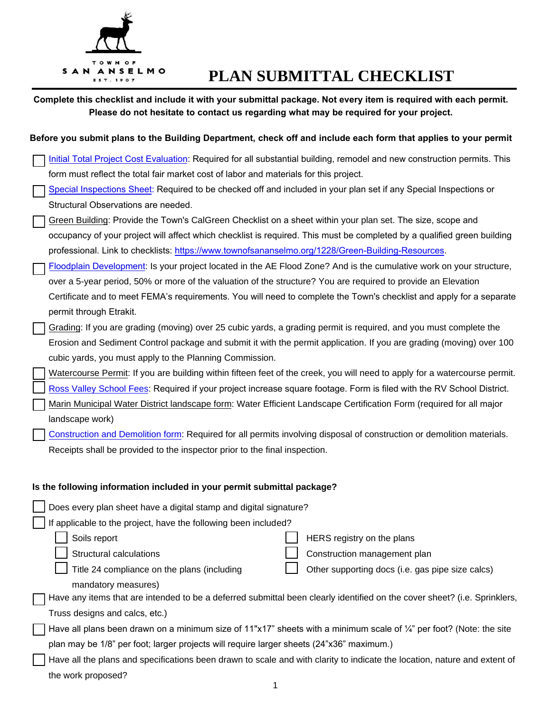

## **PLAN SUBMITTAL CHECKLIST**

| Complete this checklist and include it with your submittal package. Not every item is required with each permit.<br>Please do not hesitate to contact us regarding what may be required for your project.                                                                                                                                                                                                                                                                                    |  |  |
|----------------------------------------------------------------------------------------------------------------------------------------------------------------------------------------------------------------------------------------------------------------------------------------------------------------------------------------------------------------------------------------------------------------------------------------------------------------------------------------------|--|--|
| Before you submit plans to the Building Department, check off and include each form that applies to your permit                                                                                                                                                                                                                                                                                                                                                                              |  |  |
| Initial Total Project Cost Evaluation: Required for all substantial building, remodel and new construction permits. This<br>form must reflect the total fair market cost of labor and materials for this project.                                                                                                                                                                                                                                                                            |  |  |
| Special Inspections Sheet: Required to be checked off and included in your plan set if any Special Inspections or<br>Structural Observations are needed.                                                                                                                                                                                                                                                                                                                                     |  |  |
| Green Building: Provide the Town's CalGreen Checklist on a sheet within your plan set. The size, scope and<br>occupancy of your project will affect which checklist is required. This must be completed by a qualified green building                                                                                                                                                                                                                                                        |  |  |
| professional. Link to checklists: https://www.townofsananselmo.org/1228/Green-Building-Resources.<br>Floodplain Development: Is your project located in the AE Flood Zone? And is the cumulative work on your structure,<br>over a 5-year period, 50% or more of the valuation of the structure? You are required to provide an Elevation<br>Certificate and to meet FEMA's requirements. You will need to complete the Town's checklist and apply for a separate<br>permit through Etrakit. |  |  |
| Grading: If you are grading (moving) over 25 cubic yards, a grading permit is required, and you must complete the<br>Erosion and Sediment Control package and submit it with the permit application. If you are grading (moving) over 100<br>cubic yards, you must apply to the Planning Commission.                                                                                                                                                                                         |  |  |
| Watercourse Permit: If you are building within fifteen feet of the creek, you will need to apply for a watercourse permit.<br>Ross Valley School Fees: Required if your project increase square footage. Form is filed with the RV School District.<br>Marin Municipal Water District landscape form: Water Efficient Landscape Certification Form (required for all major                                                                                                                   |  |  |
| landscape work)<br>Construction and Demolition form: Required for all permits involving disposal of construction or demolition materials.<br>Receipts shall be provided to the inspector prior to the final inspection.                                                                                                                                                                                                                                                                      |  |  |
| Is the following information included in your permit submittal package?                                                                                                                                                                                                                                                                                                                                                                                                                      |  |  |
| Does every plan sheet have a digital stamp and digital signature?                                                                                                                                                                                                                                                                                                                                                                                                                            |  |  |
| If applicable to the project, have the following been included?<br>Soils report<br>HERS registry on the plans<br>Structural calculations<br>Construction management plan<br>Title 24 compliance on the plans (including<br>Other supporting docs (i.e. gas pipe size calcs)                                                                                                                                                                                                                  |  |  |
| mandatory measures)<br>Have any items that are intended to be a deferred submittal been clearly identified on the cover sheet? (i.e. Sprinklers,<br>Truss designs and calcs, etc.)                                                                                                                                                                                                                                                                                                           |  |  |
| Have all plans been drawn on a minimum size of 11"x17" sheets with a minimum scale of $\frac{1}{4}$ " per foot? (Note: the site<br>plan may be 1/8" per foot; larger projects will require larger sheets (24"x36" maximum.)                                                                                                                                                                                                                                                                  |  |  |
| Have all the plans and specifications been drawn to scale and with clarity to indicate the location, nature and extent of<br>the work proposed?                                                                                                                                                                                                                                                                                                                                              |  |  |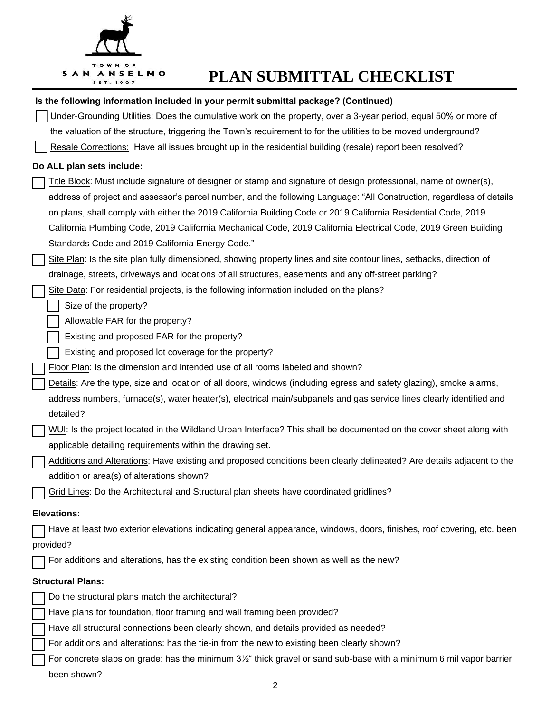

# **PLAN SUBMITTAL CHECKLIST**

|                    | Is the following information included in your permit submittal package? (Continued)                                     |  |
|--------------------|-------------------------------------------------------------------------------------------------------------------------|--|
|                    | Under-Grounding Utilities: Does the cumulative work on the property, over a 3-year period, equal 50% or more of         |  |
|                    | the valuation of the structure, triggering the Town's requirement to for the utilities to be moved underground?         |  |
|                    | Resale Corrections: Have all issues brought up in the residential building (resale) report been resolved?               |  |
|                    | Do ALL plan sets include:                                                                                               |  |
|                    | Title Block: Must include signature of designer or stamp and signature of design professional, name of owner(s),        |  |
|                    | address of project and assessor's parcel number, and the following Language: "All Construction, regardless of details   |  |
|                    | on plans, shall comply with either the 2019 California Building Code or 2019 California Residential Code, 2019          |  |
|                    | California Plumbing Code, 2019 California Mechanical Code, 2019 California Electrical Code, 2019 Green Building         |  |
|                    | Standards Code and 2019 California Energy Code."                                                                        |  |
|                    | Site Plan: Is the site plan fully dimensioned, showing property lines and site contour lines, setbacks, direction of    |  |
|                    | drainage, streets, driveways and locations of all structures, easements and any off-street parking?                     |  |
|                    | Site Data: For residential projects, is the following information included on the plans?                                |  |
|                    | Size of the property?                                                                                                   |  |
|                    | Allowable FAR for the property?                                                                                         |  |
|                    | Existing and proposed FAR for the property?                                                                             |  |
|                    | Existing and proposed lot coverage for the property?                                                                    |  |
|                    | Floor Plan: Is the dimension and intended use of all rooms labeled and shown?                                           |  |
|                    | Details: Are the type, size and location of all doors, windows (including egress and safety glazing), smoke alarms,     |  |
|                    | address numbers, furnace(s), water heater(s), electrical main/subpanels and gas service lines clearly identified and    |  |
|                    | detailed?                                                                                                               |  |
|                    | WUI: Is the project located in the Wildland Urban Interface? This shall be documented on the cover sheet along with     |  |
|                    | applicable detailing requirements within the drawing set.                                                               |  |
|                    | Additions and Alterations: Have existing and proposed conditions been clearly delineated? Are details adjacent to the   |  |
|                    | addition or area(s) of alterations shown?                                                                               |  |
|                    | Grid Lines: Do the Architectural and Structural plan sheets have coordinated gridlines?                                 |  |
| <b>Elevations:</b> |                                                                                                                         |  |
|                    | Have at least two exterior elevations indicating general appearance, windows, doors, finishes, roof covering, etc. been |  |
|                    | provided?                                                                                                               |  |
|                    | For additions and alterations, has the existing condition been shown as well as the new?                                |  |
|                    | <b>Structural Plans:</b>                                                                                                |  |
|                    | Do the structural plans match the architectural?                                                                        |  |
|                    | Have plans for foundation, floor framing and wall framing been provided?                                                |  |
|                    | Have all structural connections been clearly shown, and details provided as needed?                                     |  |
|                    | For additions and alterations: has the tie-in from the new to existing been clearly shown?                              |  |
|                    | For concrete slabs on grade: has the minimum 31/2" thick gravel or sand sub-base with a minimum 6 mil vapor barrier     |  |
|                    | been shown?                                                                                                             |  |
|                    |                                                                                                                         |  |